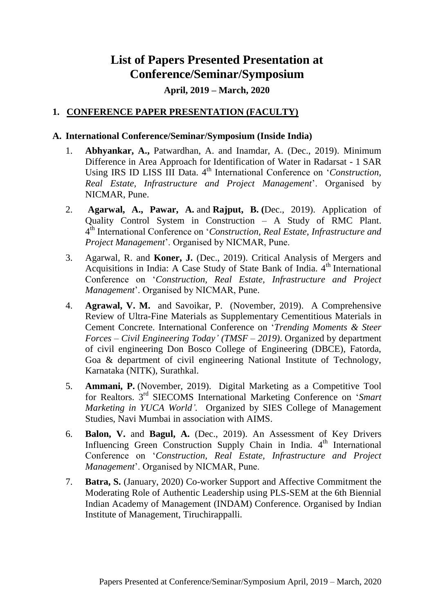## **List of Papers Presented Presentation at Conference/Seminar/Symposium**

## **April, 2019 – March, 2020**

## **1. CONFERENCE PAPER PRESENTATION (FACULTY)**

## **A. International Conference/Seminar/Symposium (Inside India)**

- 1. **Abhyankar, A.,** Patwardhan, A. and Inamdar, A. (Dec., 2019). Minimum Difference in Area Approach for Identification of Water in Radarsat - 1 SAR Using IRS ID LISS III Data. 4<sup>th</sup> International Conference on *'Construction*, *Real Estate, Infrastructure and Project Management*'. Organised by NICMAR, Pune.
- 2. **Agarwal, A., Pawar, A.** and **Rajput, B. (**Dec., 2019). Application of Quality Control System in Construction – A Study of RMC Plant. 4 th International Conference on '*Construction, Real Estate, Infrastructure and Project Management*'. Organised by NICMAR, Pune.
- 3. Agarwal, R. and **Koner, J.** (Dec., 2019). Critical Analysis of Mergers and Acquisitions in India: A Case Study of State Bank of India.  $4<sup>th</sup>$  International Conference on '*Construction, Real Estate, Infrastructure and Project Management*'. Organised by NICMAR, Pune.
- 4. **Agrawal, V. M.** and Savoikar, P. (November, 2019). A Comprehensive Review of Ultra-Fine Materials as Supplementary Cementitious Materials in Cement Concrete. International Conference on '*Trending Moments & Steer Forces – Civil Engineering Today' (TMSF – 2019)*. Organized by department of civil engineering Don Bosco College of Engineering (DBCE), Fatorda, Goa & department of civil engineering National Institute of Technology, Karnataka (NITK), Surathkal.
- 5. **Ammani, P.** (November, 2019). Digital Marketing as a Competitive Tool for Realtors. 3<sup>rd</sup> SIECOMS International Marketing Conference on 'Smart *Marketing in YUCA World'.* Organized by SIES College of Management Studies, Navi Mumbai in association with AIMS.
- 6. **Balon, V.** and **Bagul, A.** (Dec., 2019). An Assessment of Key Drivers Influencing Green Construction Supply Chain in India.  $4<sup>th</sup>$  International Conference on '*Construction, Real Estate, Infrastructure and Project Management*'. Organised by NICMAR, Pune.
- 7. **Batra, S.** (January, 2020) Co-worker Support and Affective Commitment the Moderating Role of Authentic Leadership using PLS-SEM at the 6th Biennial Indian Academy of Management (INDAM) Conference. Organised by Indian Institute of Management, Tiruchirappalli.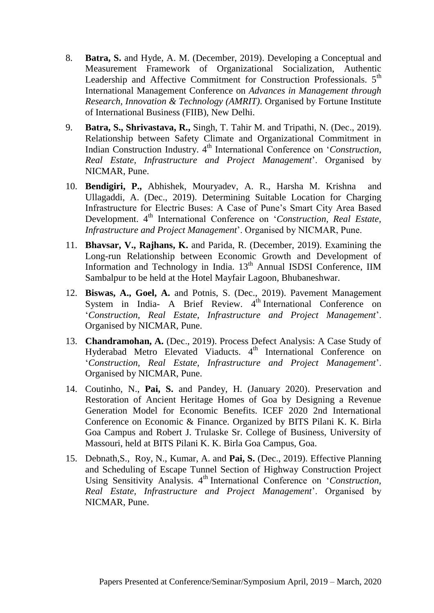- 8. **Batra, S.** and Hyde, A. M. (December, 2019). Developing a Conceptual and Measurement Framework of Organizational Socialization, Authentic Leadership and Affective Commitment for Construction Professionals. 5<sup>th</sup> International Management Conference on *Advances in Management through Research, Innovation & Technology (AMRIT)*. Organised by Fortune Institute of International Business (FIIB), New Delhi.
- 9. **Batra, S., Shrivastava, R.,** Singh, T. Tahir M. and Tripathi, N. (Dec., 2019). Relationship between Safety Climate and Organizational Commitment in Indian Construction Industry. 4<sup>th</sup> International Conference on *'Construction*, *Real Estate, Infrastructure and Project Management*'. Organised by NICMAR, Pune.
- 10. **Bendigiri, P.,** Abhishek, Mouryadev, A. R., Harsha M. Krishna and Ullagaddi, A. (Dec., 2019). Determining Suitable Location for Charging Infrastructure for Electric Buses: A Case of Pune's Smart City Area Based Development. 4<sup>th</sup> International Conference on '*Construction*, Real Estate, *Infrastructure and Project Management*'. Organised by NICMAR, Pune.
- 11. **Bhavsar, V., Rajhans, K.** and Parida, R. (December, 2019). Examining the Long-run Relationship between Economic Growth and Development of Information and Technology in India. 13<sup>th</sup> Annual ISDSI Conference, IIM Sambalpur to be held at the Hotel Mayfair Lagoon, Bhubaneshwar.
- 12. **Biswas, A., Goel, A.** and Potnis, S. (Dec., 2019). Pavement Management System in India- A Brief Review. 4<sup>th</sup> International Conference on '*Construction, Real Estate, Infrastructure and Project Management*'. Organised by NICMAR, Pune.
- 13. **Chandramohan, A.** (Dec., 2019). Process Defect Analysis: A Case Study of Hyderabad Metro Elevated Viaducts. 4<sup>th</sup> International Conference on '*Construction, Real Estate, Infrastructure and Project Management*'. Organised by NICMAR, Pune.
- 14. Coutinho, N., **Pai, S.** and Pandey, H. (January 2020). Preservation and Restoration of Ancient Heritage Homes of Goa by Designing a Revenue Generation Model for Economic Benefits. ICEF 2020 2nd International Conference on Economic & Finance. Organized by BITS Pilani K. K. Birla Goa Campus and Robert J. Trulaske Sr. College of Business, University of Massouri, held at BITS Pilani K. K. Birla Goa Campus, Goa.
- 15. Debnath,S., Roy, N., Kumar, A. and **Pai, S.** (Dec., 2019). Effective Planning and Scheduling of Escape Tunnel Section of Highway Construction Project Using Sensitivity Analysis. 4<sup>th</sup> International Conference on '*Construction*, *Real Estate, Infrastructure and Project Management*'. Organised by NICMAR, Pune.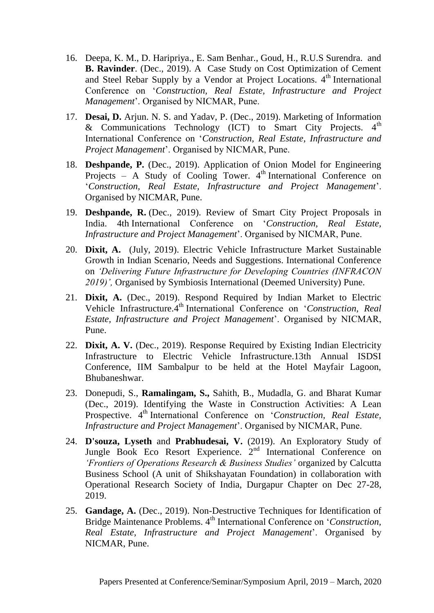- 16. Deepa, K. M., D. Haripriya., E. Sam Benhar., Goud, H., R.U.S Surendra. and **B. Ravinder**. (Dec., 2019). A Case Study on Cost Optimization of Cement and Steel Rebar Supply by a Vendor at Project Locations.  $4<sup>th</sup>$  International Conference on '*Construction, Real Estate, Infrastructure and Project Management*'. Organised by NICMAR, Pune.
- 17. **Desai, D.** Arjun. N. S. and Yadav, P. (Dec., 2019). Marketing of Information & Communications Technology (ICT) to Smart City Projects.  $4<sup>th</sup>$ International Conference on '*Construction, Real Estate, Infrastructure and Project Management*'. Organised by NICMAR, Pune.
- 18. **Deshpande, P.** (Dec., 2019). Application of Onion Model for Engineering Projects – A Study of Cooling Tower.  $4<sup>th</sup>$  International Conference on '*Construction, Real Estate, Infrastructure and Project Management*'. Organised by NICMAR, Pune.
- 19. **Deshpande, R.** (Dec., 2019). Review of Smart City Project Proposals in India. 4th International Conference on '*Construction, Real Estate, Infrastructure and Project Management*'. Organised by NICMAR, Pune.
- 20. **Dixit, A.** (July, 2019). Electric Vehicle Infrastructure Market Sustainable Growth in Indian Scenario, Needs and Suggestions. International Conference on *'Delivering Future Infrastructure for Developing Countries (INFRACON 2019)',* Organised by Symbiosis International (Deemed University) Pune.
- 21. **Dixit, A.** (Dec., 2019). Respond Required by Indian Market to Electric Vehicle Infrastructure.<sup>4th</sup> International Conference on '*Construction, Real Estate, Infrastructure and Project Management*'. Organised by NICMAR, Pune.
- 22. **Dixit, A. V.** (Dec., 2019). Response Required by Existing Indian Electricity Infrastructure to Electric Vehicle Infrastructure.13th Annual ISDSI Conference, IIM Sambalpur to be held at the Hotel Mayfair Lagoon, Bhubaneshwar.
- 23. Donepudi, S., **Ramalingam, S.,** Sahith, B., Mudadla, G. and Bharat Kumar (Dec., 2019). Identifying the Waste in Construction Activities: A Lean Prospective. 4th International Conference on '*Construction, Real Estate, Infrastructure and Project Management*'. Organised by NICMAR, Pune.
- 24. **D'souza, Lyseth** and **Prabhudesai, V.** (2019). An Exploratory Study of Jungle Book Eco Resort Experience. 2<sup>nd</sup> International Conference on *'Frontiers of Operations Research & Business Studies'* organized by Calcutta Business School (A unit of Shikshayatan Foundation) in collaboration with Operational Research Society of India, Durgapur Chapter on Dec 27-28, 2019.
- 25. **Gandage, A.** (Dec., 2019). Non-Destructive Techniques for Identification of Bridge Maintenance Problems. 4<sup>th</sup> International Conference on *'Construction*, *Real Estate, Infrastructure and Project Management*'. Organised by NICMAR, Pune.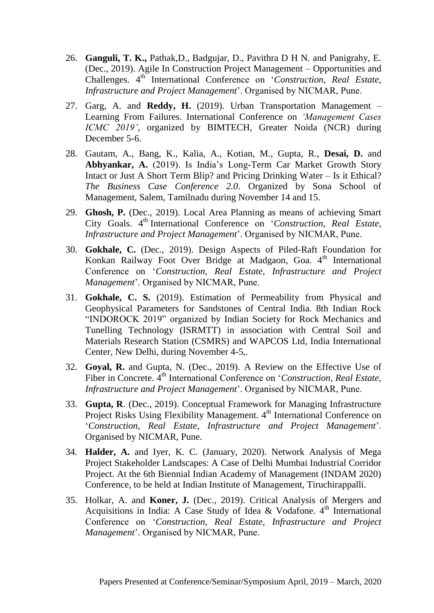- 26. **Ganguli, T. K.,** Pathak,D., Badgujar, D., Pavithra D H N. and Panigrahy, E. (Dec., 2019). Agile In Construction Project Management – Opportunities and Challenges.  $4^{th}$  International Conference on *'Construction*, *Real Estate*, *Infrastructure and Project Management*'. Organised by NICMAR, Pune.
- 27. Garg, A. and **Reddy, H.** (2019). Urban Transportation Management Learning From Failures. International Conference on *'Management Cases ICMC 2019'*, organized by BIMTECH, Greater Noida (NCR) during December 5-6.
- 28. Gautam, A., Bang, K., Kalia, A., Kotian, M., Gupta, R., **Desai, D.** and **Abhyankar, A.** (2019). Is India's Long-Term Car Market Growth Story Intact or Just A Short Term Blip? and Pricing Drinking Water – Is it Ethical? *The Business Case Conference 2.0*. Organized by Sona School of Management, Salem, Tamilnadu during November 14 and 15.
- 29. **Ghosh, P.** (Dec., 2019). Local Area Planning as means of achieving Smart City Goals. 4th International Conference on '*Construction, Real Estate, Infrastructure and Project Management*'. Organised by NICMAR, Pune.
- 30. **Gokhale, C.** (Dec., 2019). Design Aspects of Piled-Raft Foundation for Konkan Railway Foot Over Bridge at Madgaon, Goa. 4<sup>th</sup> International Conference on '*Construction, Real Estate, Infrastructure and Project Management*'. Organised by NICMAR, Pune.
- 31. **Gokhale, C. S.** (2019). Estimation of Permeability from Physical and Geophysical Parameters for Sandstones of Central India. 8th Indian Rock "INDOROCK 2019" organized by Indian Society for Rock Mechanics and Tunelling Technology (ISRMTT) in association with Central Soil and Materials Research Station (CSMRS) and WAPCOS Ltd, India International Center, New Delhi, during November 4-5,.
- 32. **Goyal, R.** and Gupta, N. (Dec., 2019). A Review on the Effective Use of Fiber in Concrete.  $\hat{A}^{th}$  International Conference on *'Construction, Real Estate, Infrastructure and Project Management*'. Organised by NICMAR, Pune.
- 33. **Gupta, R**. (Dec., 2019). Conceptual Framework for Managing Infrastructure Project Risks Using Flexibility Management. 4<sup>th</sup> International Conference on '*Construction, Real Estate, Infrastructure and Project Management*'. Organised by NICMAR, Pune.
- 34. **Halder, A.** and Iyer, K. C. (January, 2020). Network Analysis of Mega Project Stakeholder Landscapes: A Case of Delhi Mumbai Industrial Corridor Project. At the 6th Biennial Indian Academy of Management (INDAM 2020) Conference, to be held at Indian Institute of Management, Tiruchirappalli.
- 35. Holkar, A. and **Koner, J.** (Dec., 2019). Critical Analysis of Mergers and Acquisitions in India: A Case Study of Idea & Vodafone.  $4<sup>th</sup>$  International Conference on '*Construction, Real Estate, Infrastructure and Project Management*'. Organised by NICMAR, Pune.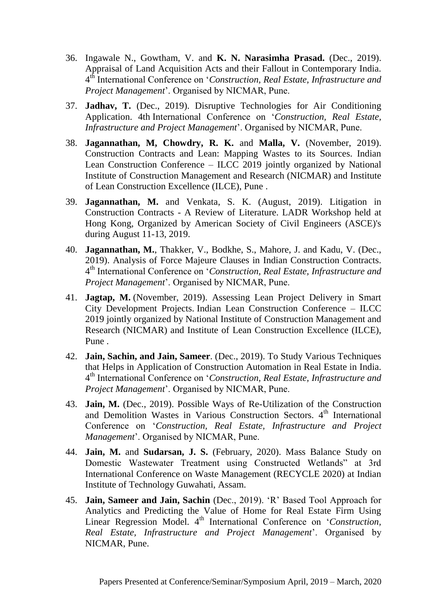- 36. Ingawale N., Gowtham, V. and **K. N. Narasimha Prasad.** (Dec., 2019). Appraisal of Land Acquisition Acts and their Fallout in Contemporary India. 4 th International Conference on '*Construction, Real Estate, Infrastructure and Project Management*'. Organised by NICMAR, Pune.
- 37. **Jadhav, T.** (Dec., 2019). Disruptive Technologies for Air Conditioning Application. 4th International Conference on '*Construction, Real Estate, Infrastructure and Project Management*'. Organised by NICMAR, Pune.
- 38. **Jagannathan, M, Chowdry, R. K.** and **Malla, V.** (November, 2019). Construction Contracts and Lean: Mapping Wastes to its Sources. Indian Lean Construction Conference –  $ILCC$  2019 jointly organized by National Institute of Construction Management and Research (NICMAR) and Institute of Lean Construction Excellence (ILCE), Pune .
- 39. **Jagannathan, M.** and Venkata, S. K. (August, 2019). Litigation in Construction Contracts - A Review of Literature. LADR Workshop held at Hong Kong, Organized by American Society of Civil Engineers (ASCE)'s during August 11-13, 2019.
- 40. **Jagannathan, M.**, Thakker, V., Bodkhe, S., Mahore, J. and Kadu, V. (Dec., 2019). Analysis of Force Majeure Clauses in Indian Construction Contracts. 4 th International Conference on '*Construction, Real Estate, Infrastructure and Project Management*'. Organised by NICMAR, Pune.
- 41. **Jagtap, M.** (November, 2019). Assessing Lean Project Delivery in Smart City Development Projects. Indian Lean Construction Conference – ILCC 2019 jointly organized by National Institute of Construction Management and Research (NICMAR) and Institute of Lean Construction Excellence (ILCE), Pune .
- 42. **Jain, Sachin, and Jain, Sameer**. (Dec., 2019). To Study Various Techniques that Helps in Application of Construction Automation in Real Estate in India. 4 th International Conference on '*Construction, Real Estate, Infrastructure and Project Management*'. Organised by NICMAR, Pune.
- 43. **Jain, M.** (Dec., 2019). Possible Ways of Re-Utilization of the Construction and Demolition Wastes in Various Construction Sectors. 4<sup>th</sup> International Conference on '*Construction, Real Estate, Infrastructure and Project Management*'. Organised by NICMAR, Pune.
- 44. **Jain, M.** and **Sudarsan, J. S.** (February, 2020). Mass Balance Study on Domestic Wastewater Treatment using Constructed Wetlands" at 3rd International Conference on Waste Management (RECYCLE 2020) at Indian Institute of Technology Guwahati, Assam.
- 45. **Jain, Sameer and Jain, Sachin** (Dec., 2019). 'R' Based Tool Approach for Analytics and Predicting the Value of Home for Real Estate Firm Using Linear Regression Model. 4<sup>th</sup> International Conference on '*Construction*, *Real Estate, Infrastructure and Project Management*'. Organised by NICMAR, Pune.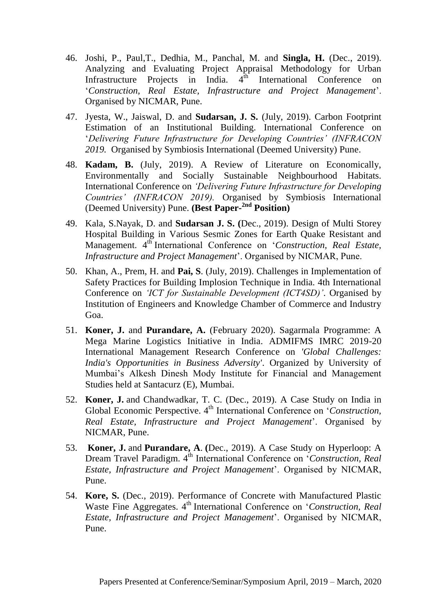- 46. Joshi, P., Paul,T., Dedhia, M., Panchal, M. and **Singla, H.** (Dec., 2019). Analyzing and Evaluating Project Appraisal Methodology for Urban Infrastructure Projects in India.  $4<sup>th</sup>$  International Conference on '*Construction, Real Estate, Infrastructure and Project Management*'. Organised by NICMAR, Pune.
- 47. Jyesta, W., Jaiswal, D. and **Sudarsan, J. S.** (July, 2019). Carbon Footprint Estimation of an Institutional Building. International Conference on '*Delivering Future Infrastructure for Developing Countries' (INFRACON 2019.* Organised by Symbiosis International (Deemed University) Pune.
- 48. **Kadam, B.** (July, 2019). A Review of Literature on Economically, Environmentally and Socially Sustainable Neighbourhood Habitats. International Conference on *'Delivering Future Infrastructure for Developing Countries' (INFRACON 2019).* Organised by Symbiosis International (Deemed University) Pune. **(Best Paper-2nd Position)**
- 49. Kala, S.Nayak, D. and **Sudarsan J. S. (**Dec., 2019). Design of Multi Storey Hospital Building in Various Sesmic Zones for Earth Quake Resistant and Management. 4<sup>th</sup> International Conference on '*Construction, Real Estate*, *Infrastructure and Project Management*'. Organised by NICMAR, Pune.
- 50. Khan, A., Prem, H. and **Pai, S**. (July, 2019). Challenges in Implementation of Safety Practices for Building Implosion Technique in India. 4th International Conference on *'ICT for Sustainable Development (ICT4SD)'*. Organised by Institution of Engineers and Knowledge Chamber of Commerce and Industry Goa.
- 51. **Koner, J.** and **Purandare, A.** (February 2020). Sagarmala Programme: A Mega Marine Logistics Initiative in India. ADMIFMS IMRC 2019-20 International Management Research Conference on *'Global Challenges: India's Opportunities in Business Adversity'*. Organized by University of Mumbai's Alkesh Dinesh Mody Institute for Financial and Management Studies held at Santacurz (E), Mumbai.
- 52. **Koner, J.** and Chandwadkar, T. C. (Dec., 2019). A Case Study on India in Global Economic Perspective. 4<sup>th</sup> International Conference on *'Construction*, *Real Estate, Infrastructure and Project Management*'. Organised by NICMAR, Pune.
- 53. **Koner, J.** and **Purandare, A**. **(**Dec., 2019). A Case Study on Hyperloop: A Dream Travel Paradigm. 4<sup>th</sup> International Conference on *Construction, Real Estate, Infrastructure and Project Management*'. Organised by NICMAR, Pune.
- 54. **Kore, S.** (Dec., 2019). Performance of Concrete with Manufactured Plastic Waste Fine Aggregates. 4<sup>th</sup> International Conference on *'Construction, Real Estate, Infrastructure and Project Management*'. Organised by NICMAR, Pune.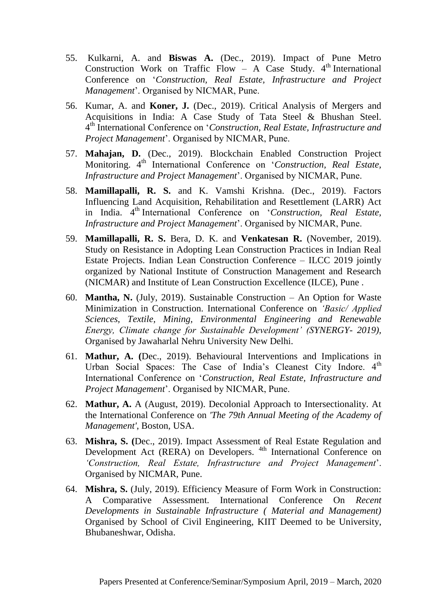- 55. Kulkarni, A. and **Biswas A.** (Dec., 2019). Impact of Pune Metro Construction Work on Traffic Flow – A Case Study.  $4<sup>th</sup>$  International Conference on '*Construction, Real Estate, Infrastructure and Project Management*'. Organised by NICMAR, Pune.
- 56. Kumar, A. and **Koner, J.** (Dec., 2019). Critical Analysis of Mergers and Acquisitions in India: A Case Study of Tata Steel & Bhushan Steel. 4 th International Conference on '*Construction, Real Estate, Infrastructure and Project Management*'. Organised by NICMAR, Pune.
- 57. **Mahajan, D.** (Dec., 2019). Blockchain Enabled Construction Project Monitoring. 4<sup>th</sup> International Conference on '*Construction, Real Estate*, *Infrastructure and Project Management*'. Organised by NICMAR, Pune.
- 58. **Mamillapalli, R. S.** and K. Vamshi Krishna. (Dec., 2019). Factors Influencing Land Acquisition, Rehabilitation and Resettlement (LARR) Act in India. 4th International Conference on '*Construction, Real Estate, Infrastructure and Project Management*'. Organised by NICMAR, Pune.
- 59. **Mamillapalli, R. S.** Bera, D. K. and **Venkatesan R.** (November, 2019). Study on Resistance in Adopting Lean Construction Practices in Indian Real Estate Projects. Indian Lean Construction Conference – ILCC 2019 jointly organized by National Institute of Construction Management and Research (NICMAR) and Institute of Lean Construction Excellence (ILCE), Pune .
- 60. **Mantha, N.** (July, 2019). Sustainable Construction An Option for Waste Minimization in Construction. International Conference on *'Basic/ Applied Sciences, Textile, Mining, Environmental Engineering and Renewable Energy, Climate change for Sustainable Development' (SYNERGY- 2019),* Organised by Jawaharlal Nehru University New Delhi.
- 61. **Mathur, A. (**Dec., 2019). Behavioural Interventions and Implications in Urban Social Spaces: The Case of India's Cleanest City Indore. 4<sup>th</sup> International Conference on '*Construction, Real Estate, Infrastructure and Project Management*'. Organised by NICMAR, Pune.
- 62. **Mathur, A.** A (August, 2019). Decolonial Approach to Intersectionality. At the International Conference on *'The 79th Annual Meeting of the Academy of Management'*, Boston, USA.
- 63. **Mishra, S. (**Dec., 2019). Impact Assessment of Real Estate Regulation and Development Act (RERA) on Developers. <sup>4th</sup> International Conference on *'Construction, Real Estate, Infrastructure and Project Management*'. Organised by NICMAR, Pune.
- 64. **Mishra, S.** (July, 2019). Efficiency Measure of Form Work in Construction: A Comparative Assessment. International Conference On *Recent Developments in Sustainable Infrastructure ( Material and Management)*  Organised by School of Civil Engineering, KIIT Deemed to be University, Bhubaneshwar, Odisha.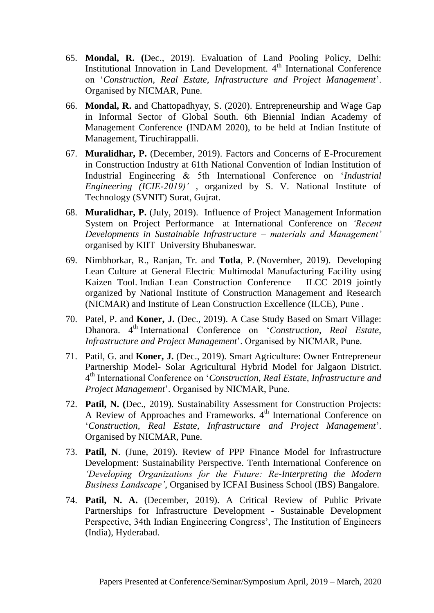- 65. **Mondal, R. (**Dec., 2019). Evaluation of Land Pooling Policy, Delhi: Institutional Innovation in Land Development.  $4<sup>th</sup>$  International Conference on '*Construction, Real Estate, Infrastructure and Project Management*'. Organised by NICMAR, Pune.
- 66. **Mondal, R.** and Chattopadhyay, S. (2020). Entrepreneurship and Wage Gap in Informal Sector of Global South. 6th Biennial Indian Academy of Management Conference (INDAM 2020), to be held at Indian Institute of Management, Tiruchirappalli.
- 67. **Muralidhar, P.** (December, 2019). Factors and Concerns of E-Procurement in Construction Industry at 61th National Convention of Indian Institution of Industrial Engineering & 5th International Conference on '*Industrial Engineering (ICIE-2019)'* , organized by S. V. National Institute of Technology (SVNIT) Surat, Gujrat.
- 68. **Muralidhar, P.** (July, 2019). Influence of Project Management Information System on Project Performance at International Conference on *'Recent Developments in Sustainable Infrastructure – materials and Management'* organised by KIIT University Bhubaneswar.
- 69. Nimbhorkar, R., Ranjan, Tr. and **Totla**, P. (November, 2019). Developing Lean Culture at General Electric Multimodal Manufacturing Facility using Kaizen Tool. Indian Lean Construction Conference – ILCC 2019 jointly organized by National Institute of Construction Management and Research (NICMAR) and Institute of Lean Construction Excellence (ILCE), Pune .
- 70. Patel, P. and **Koner, J.** (Dec., 2019). A Case Study Based on Smart Village: Dhanora. 4<sup>th</sup> International Conference on '*Construction, Real Estate*, *Infrastructure and Project Management*'. Organised by NICMAR, Pune.
- 71. Patil, G. and **Koner, J.** (Dec., 2019). Smart Agriculture: Owner Entrepreneur Partnership Model- Solar Agricultural Hybrid Model for Jalgaon District. 4 th International Conference on '*Construction, Real Estate, Infrastructure and Project Management*'. Organised by NICMAR, Pune.
- 72. **Patil, N. (**Dec., 2019). Sustainability Assessment for Construction Projects: A Review of Approaches and Frameworks. 4<sup>th</sup> International Conference on '*Construction, Real Estate, Infrastructure and Project Management*'. Organised by NICMAR, Pune.
- 73. **Patil, N**. (June, 2019). Review of PPP Finance Model for Infrastructure Development: Sustainability Perspective. Tenth International Conference on *'Developing Organizations for the Future: Re-Interpreting the Modern Business Landscape'*, Organised by ICFAI Business School (IBS) Bangalore.
- 74. **Patil, N. A.** (December, 2019). A Critical Review of Public Private Partnerships for Infrastructure Development - Sustainable Development Perspective, 34th Indian Engineering Congress', The Institution of Engineers (India), Hyderabad.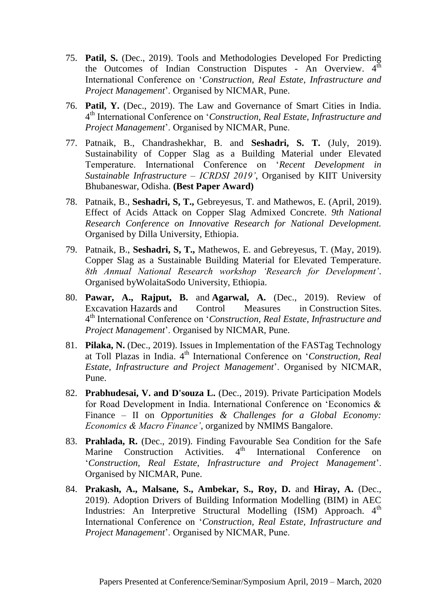- 75. **Patil, S.** (Dec., 2019). Tools and Methodologies Developed For Predicting the Outcomes of Indian Construction Disputes - An Overview.  $4^{\overline{th}}$ International Conference on '*Construction, Real Estate, Infrastructure and Project Management*'. Organised by NICMAR, Pune.
- 76. **Patil, Y.** (Dec., 2019). The Law and Governance of Smart Cities in India. 4 th International Conference on '*Construction, Real Estate, Infrastructure and Project Management*'. Organised by NICMAR, Pune.
- 77. Patnaik, B., Chandrashekhar, B. and **Seshadri, S. T.** (July, 2019). Sustainability of Copper Slag as a Building Material under Elevated Temperature. International Conference on '*Recent Development in Sustainable Infrastructure – ICRDSI 2019'*, Organised by KIIT University Bhubaneswar, Odisha. **(Best Paper Award)**
- 78. Patnaik, B., **Seshadri, S, T.,** Gebreyesus, T. and Mathewos, E. (April, 2019). Effect of Acids Attack on Copper Slag Admixed Concrete. *9th National Research Conference on Innovative Research for National Development.*  Organised by Dilla University, Ethiopia.
- 79. Patnaik, B., **Seshadri, S, T.,** Mathewos, E. and Gebreyesus, T. (May, 2019). Copper Slag as a Sustainable Building Material for Elevated Temperature. *8th Annual National Research workshop 'Research for Development'*. Organised byWolaitaSodo University, Ethiopia.
- 80. **Pawar, A., Rajput, B.** and **Agarwal, A.** (Dec., 2019). Review of Excavation Hazards and Control Measures in Construction Sites. 4 th International Conference on '*Construction, Real Estate, Infrastructure and Project Management*'. Organised by NICMAR, Pune.
- 81. **Pilaka, N.** (Dec., 2019). Issues in Implementation of the FASTag Technology at Toll Plazas in India. 4th International Conference on '*Construction, Real Estate, Infrastructure and Project Management*'. Organised by NICMAR, Pune.
- 82. **Prabhudesai, V. and D'souza L.** (Dec., 2019). Private Participation Models for Road Development in India. International Conference on 'Economics & Finance – II on *Opportunities & Challenges for a Global Economy: Economics & Macro Finance'*, organized by NMIMS Bangalore.
- 83. **Prahlada, R.** (Dec., 2019). Finding Favourable Sea Condition for the Safe Marine Construction Activities. 4<sup>th</sup> International Conference on '*Construction, Real Estate, Infrastructure and Project Management*'. Organised by NICMAR, Pune.
- 84. **Prakash, A., Malsane, S., Ambekar, S., Roy, D.** and **Hiray, A.** (Dec., 2019). Adoption Drivers of Building Information Modelling (BIM) in AEC Industries: An Interpretive Structural Modelling (ISM) Approach. 4<sup>th</sup> International Conference on '*Construction, Real Estate, Infrastructure and Project Management*'. Organised by NICMAR, Pune.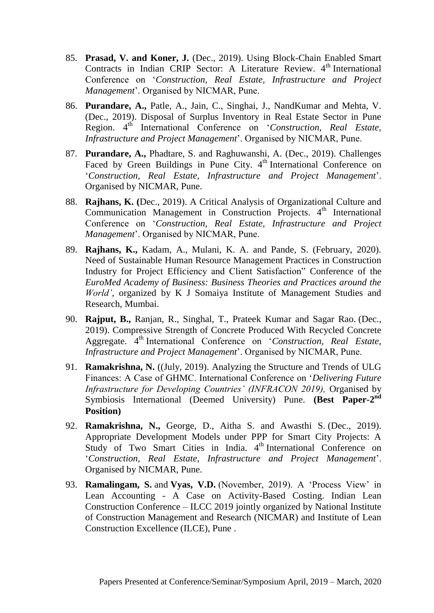- 85. **Prasad, V. and Koner, J.** (Dec., 2019). Using Block-Chain Enabled Smart Contracts in Indian CRIP Sector: A Literature Review.  $4<sup>th</sup>$  International Conference on '*Construction, Real Estate, Infrastructure and Project Management*'. Organised by NICMAR, Pune.
- 86. **Purandare, A.,** Patle, A., Jain, C., Singhai, J., NandKumar and Mehta, V. (Dec., 2019). Disposal of Surplus Inventory in Real Estate Sector in Pune Region. 4<sup>th</sup> International Conference on *Construction, Real Estate, Infrastructure and Project Management*'. Organised by NICMAR, Pune.
- 87. **Purandare, A.,** Phadtare, S. and Raghuwanshi, A. (Dec., 2019). Challenges Faced by Green Buildings in Pune City. 4<sup>th</sup> International Conference on '*Construction, Real Estate, Infrastructure and Project Management*'. Organised by NICMAR, Pune.
- 88. **Rajhans, K. (**Dec., 2019). A Critical Analysis of Organizational Culture and Communication Management in Construction Projects.  $4<sup>th</sup>$  International Conference on '*Construction, Real Estate, Infrastructure and Project Management*'. Organised by NICMAR, Pune.
- 89. **Rajhans, K.,** Kadam, A., Mulani, K. A. and Pande, S. (February, 2020). Need of Sustainable Human Resource Management Practices in Construction Industry for Project Efficiency and Client Satisfaction" Conference of the *EuroMed Academy of Business: Business Theories and Practices around the World'*, organized by K J Somaiya Institute of Management Studies and Research, Mumbai.
- 90. **Rajput, B.,** Ranjan, R., Singhal, T., Prateek Kumar and Sagar Rao. (Dec., 2019). Compressive Strength of Concrete Produced With Recycled Concrete Aggregate. <sup>4th</sup> International Conference on '*Construction*, Real Estate, *Infrastructure and Project Management*'. Organised by NICMAR, Pune.
- 91. **Ramakrishna, N.** ((July, 2019). Analyzing the Structure and Trends of ULG Finances: A Case of GHMC. International Conference on '*Delivering Future Infrastructure for Developing Countries' (INFRACON 2019),* Organised by Symbiosis International (Deemed University) Pune. (Best Paper-2<sup>nd</sup> **Position)**
- 92. **Ramakrishna, N.,** George, D., Aitha S. and Awasthi S. (Dec., 2019). Appropriate Development Models under PPP for Smart City Projects: A Study of Two Smart Cities in India.  $4<sup>th</sup>$  International Conference on '*Construction, Real Estate, Infrastructure and Project Management*'. Organised by NICMAR, Pune.
- 93. **Ramalingam, S.** and **Vyas, V.D.** (November, 2019). A 'Process View' in Lean Accounting - A Case on Activity-Based Costing. Indian Lean Construction Conference – ILCC 2019 jointly organized by National Institute of Construction Management and Research (NICMAR) and Institute of Lean Construction Excellence (ILCE), Pune .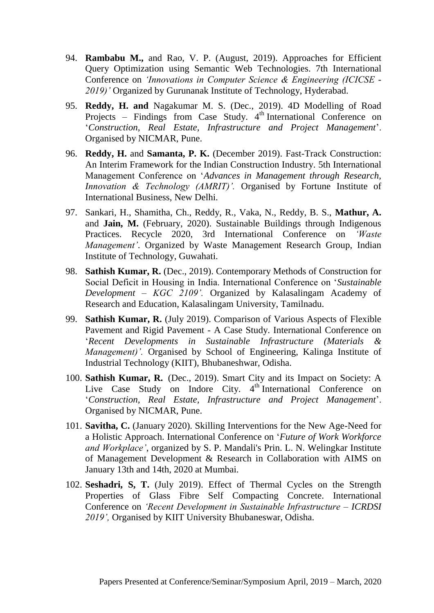- 94. **Rambabu M.,** and Rao, V. P. (August, 2019). Approaches for Efficient Query Optimization using Semantic Web Technologies. 7th International Conference on *'Innovations in Computer Science & Engineering (ICICSE - 2019)'* Organized by Gurunanak Institute of Technology, Hyderabad.
- 95. **Reddy, H. and** Nagakumar M. S. (Dec., 2019). 4D Modelling of Road Projects – Findings from Case Study.  $4<sup>th</sup>$  International Conference on '*Construction, Real Estate, Infrastructure and Project Management*'. Organised by NICMAR, Pune.
- 96. **Reddy, H.** and **Samanta, P. K.** (December 2019). Fast-Track Construction: An Interim Framework for the Indian Construction Industry. 5th International Management Conference on '*Advances in Management through Research, Innovation & Technology (AMRIT)'.* Organised by Fortune Institute of International Business, New Delhi.
- 97. Sankari, H., Shamitha, Ch., Reddy, R., Vaka, N., Reddy, B. S., **Mathur, A.** and **Jain, M.** (February, 2020). Sustainable Buildings through Indigenous Practices. Recycle 2020, 3rd International Conference on *'Waste Management'*. Organized by Waste Management Research Group, Indian Institute of Technology, Guwahati.
- 98. **Sathish Kumar, R.** (Dec., 2019). Contemporary Methods of Construction for Social Deficit in Housing in India. International Conference on '*Sustainable Development – KGC 2109'.* Organized by Kalasalingam Academy of Research and Education, Kalasalingam University, Tamilnadu.
- 99. **Sathish Kumar, R.** (July 2019). Comparison of Various Aspects of Flexible Pavement and Rigid Pavement - A Case Study. International Conference on '*Recent Developments in Sustainable Infrastructure (Materials & Management)'.* Organised by School of Engineering, Kalinga Institute of Industrial Technology (KIIT), Bhubaneshwar, Odisha.
- 100. **Sathish Kumar, R.** (Dec., 2019). Smart City and its Impact on Society: A Live Case Study on Indore City.  $4<sup>th</sup>$  International Conference on '*Construction, Real Estate, Infrastructure and Project Management*'. Organised by NICMAR, Pune.
- 101. **Savitha, C.** (January 2020). Skilling Interventions for the New Age-Need for a Holistic Approach. International Conference on '*Future of Work Workforce and Workplace'*, organized by S. P. Mandali's Prin. L. N. Welingkar Institute of Management Development & Research in Collaboration with AIMS on January 13th and 14th, 2020 at Mumbai.
- 102. **Seshadri, S, T.** (July 2019). Effect of Thermal Cycles on the Strength Properties of Glass Fibre Self Compacting Concrete. International Conference on *'Recent Development in Sustainable Infrastructure – ICRDSI 2019',* Organised by KIIT University Bhubaneswar, Odisha.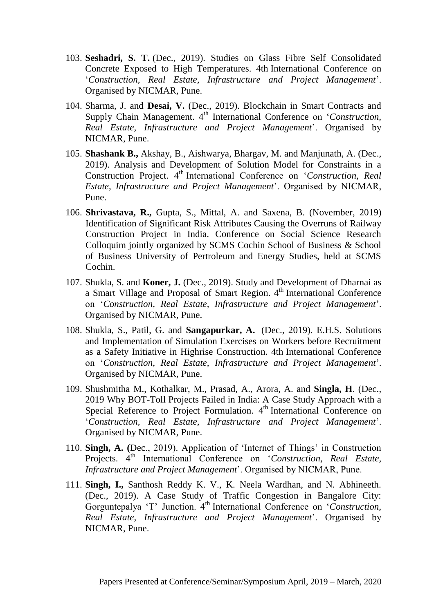- 103. **Seshadri, S. T.** (Dec., 2019). Studies on Glass Fibre Self Consolidated Concrete Exposed to High Temperatures. 4th International Conference on '*Construction, Real Estate, Infrastructure and Project Management*'. Organised by NICMAR, Pune.
- 104. Sharma, J. and **Desai, V.** (Dec., 2019). Blockchain in Smart Contracts and Supply Chain Management. 4<sup>th</sup> International Conference on *'Construction*, *Real Estate, Infrastructure and Project Management*'. Organised by NICMAR, Pune.
- 105. **Shashank B.,** Akshay, B., Aishwarya, Bhargav, M. and Manjunath, A. (Dec., 2019). Analysis and Development of Solution Model for Constraints in a Construction Project. 4<sup>th</sup> International Conference on '*Construction, Real Estate, Infrastructure and Project Management*'. Organised by NICMAR, Pune.
- 106. **Shrivastava, R.,** Gupta, S., Mittal, A. and Saxena, B. (November, 2019) Identification of Significant Risk Attributes Causing the Overruns of Railway Construction Project in India. Conference on Social Science Research Colloquim jointly organized by SCMS Cochin School of Business & School of Business University of Pertroleum and Energy Studies, held at SCMS Cochin.
- 107. Shukla, S. and **Koner, J.** (Dec., 2019). Study and Development of Dharnai as a Smart Village and Proposal of Smart Region. 4<sup>th</sup> International Conference on '*Construction, Real Estate, Infrastructure and Project Management*'. Organised by NICMAR, Pune.
- 108. Shukla, S., Patil, G. and **Sangapurkar, A.** (Dec., 2019). E.H.S. Solutions and Implementation of Simulation Exercises on Workers before Recruitment as a Safety Initiative in Highrise Construction. 4th International Conference on '*Construction, Real Estate, Infrastructure and Project Management*'. Organised by NICMAR, Pune.
- 109. Shushmitha M., Kothalkar, M., Prasad, A., Arora, A. and **Singla, H**. (Dec., 2019 Why BOT-Toll Projects Failed in India: A Case Study Approach with a Special Reference to Project Formulation. 4<sup>th</sup> International Conference on '*Construction, Real Estate, Infrastructure and Project Management*'. Organised by NICMAR, Pune.
- 110. **Singh, A. (**Dec., 2019). Application of 'Internet of Things' in Construction Projects. 4<sup>th</sup> International Conference on '*Construction, Real Estate*, *Infrastructure and Project Management*'. Organised by NICMAR, Pune.
- 111. **Singh, I.,** Santhosh Reddy K. V., K. Neela Wardhan, and N. Abhineeth. (Dec., 2019). A Case Study of Traffic Congestion in Bangalore City: Gorguntepalya 'T' Junction. 4<sup>th</sup> International Conference on '*Construction*, *Real Estate, Infrastructure and Project Management*'. Organised by NICMAR, Pune.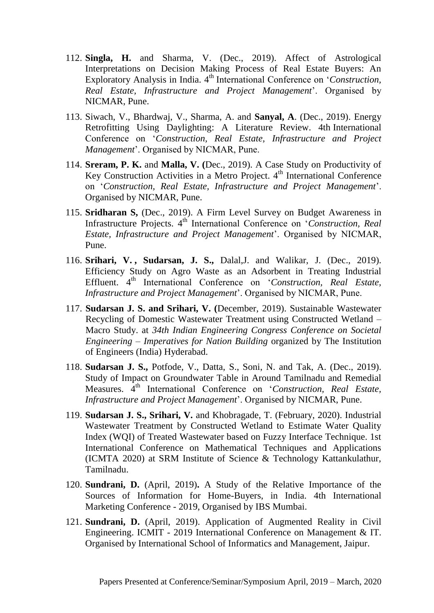- 112. **Singla, H.** and Sharma, V. (Dec., 2019). Affect of Astrological Interpretations on Decision Making Process of Real Estate Buyers: An Exploratory Analysis in India. 4<sup>th</sup> International Conference on '*Construction*, *Real Estate, Infrastructure and Project Management*'. Organised by NICMAR, Pune.
- 113. Siwach, V., Bhardwaj, V., Sharma, A. and **Sanyal, A**. (Dec., 2019). Energy Retrofitting Using Daylighting: A Literature Review. 4th International Conference on '*Construction, Real Estate, Infrastructure and Project Management*'. Organised by NICMAR, Pune.
- 114. **Sreram, P. K.** and **Malla, V. (**Dec., 2019). A Case Study on Productivity of Key Construction Activities in a Metro Project. 4<sup>th</sup> International Conference on '*Construction, Real Estate, Infrastructure and Project Management*'. Organised by NICMAR, Pune.
- 115. **Sridharan S,** (Dec., 2019). A Firm Level Survey on Budget Awareness in Infrastructure Projects. 4<sup>th</sup> International Conference on '*Construction, Real Estate, Infrastructure and Project Management*'. Organised by NICMAR, Pune.
- 116. **Srihari, V. , Sudarsan, J. S.,** Dalal,J. and Walikar, J. (Dec., 2019). Efficiency Study on Agro Waste as an Adsorbent in Treating Industrial Effluent. 4<sup>th</sup> International Conference on '*Construction*, Real Estate, *Infrastructure and Project Management*'. Organised by NICMAR, Pune.
- 117. **Sudarsan J. S. and Srihari, V. (**December, 2019). Sustainable Wastewater Recycling of Domestic Wastewater Treatment using Constructed Wetland – Macro Study. at *34th Indian Engineering Congress Conference on Societal Engineering – Imperatives for Nation Building* organized by The Institution of Engineers (India) Hyderabad.
- 118. **Sudarsan J. S.,** Potfode, V., Datta, S., Soni, N. and Tak, A. (Dec., 2019). Study of Impact on Groundwater Table in Around Tamilnadu and Remedial Measures. 4th International Conference on '*Construction, Real Estate, Infrastructure and Project Management*'. Organised by NICMAR, Pune.
- 119. **Sudarsan J. S., Srihari, V.** and Khobragade, T. (February, 2020). Industrial Wastewater Treatment by Constructed Wetland to Estimate Water Quality Index (WQI) of Treated Wastewater based on Fuzzy Interface Technique. 1st International Conference on Mathematical Techniques and Applications (ICMTA 2020) at SRM Institute of Science & Technology Kattankulathur, Tamilnadu.
- 120. **Sundrani, D.** (April, 2019)**.** A Study of the Relative Importance of the Sources of Information for Home-Buyers, in India. 4th International Marketing Conference - 2019, Organised by IBS Mumbai.
- 121. **Sundrani, D.** (April, 2019). Application of Augmented Reality in Civil Engineering. ICMIT - 2019 International Conference on Management & IT. Organised by International School of Informatics and Management, Jaipur.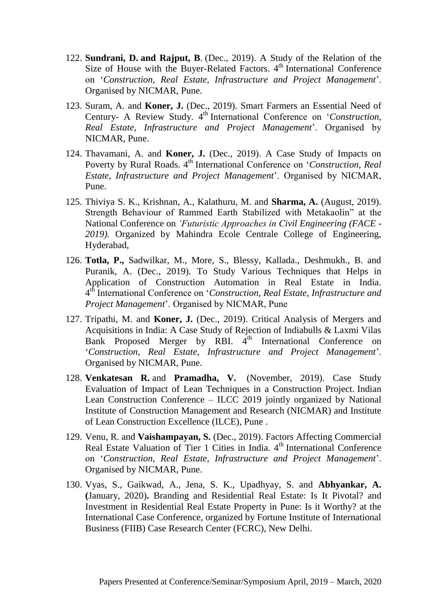- 122. **Sundrani, D. and Rajput, B**. (Dec., 2019). A Study of the Relation of the Size of House with the Buyer-Related Factors. 4<sup>th</sup> International Conference on '*Construction, Real Estate, Infrastructure and Project Management*'. Organised by NICMAR, Pune.
- 123. Suram, A. and **Koner, J.** (Dec., 2019). Smart Farmers an Essential Need of Century- A Review Study. 4<sup>th</sup> International Conference on *'Construction*, *Real Estate, Infrastructure and Project Management*'. Organised by NICMAR, Pune.
- 124. Thavamani, A. and **Koner, J.** (Dec., 2019). A Case Study of Impacts on Poverty by Rural Roads. 4<sup>th</sup> International Conference on *'Construction, Real Estate, Infrastructure and Project Management*'. Organised by NICMAR, Pune.
- 125. Thiviya S. K., Krishnan, A., Kalathuru, M. and **Sharma, A.** (August, 2019). Strength Behaviour of Rammed Earth Stabilized with Metakaolin" at the National Conference on *'Futuristic Approaches in Civil Engineering (FACE - 2019).* Organized by Mahindra Ecole Centrale College of Engineering, Hyderabad,
- 126. **Totla, P.,** Sadwilkar, M., More, S., Blessy, Kallada., Deshmukh., B. and Puranik, A. (Dec., 2019). To Study Various Techniques that Helps in Application of Construction Automation in Real Estate in India. 4 th International Conference on '*Construction, Real Estate, Infrastructure and Project Management*'. Organised by NICMAR, Pune
- 127. Tripathi, M. and **Koner, J.** (Dec., 2019). Critical Analysis of Mergers and Acquisitions in India: A Case Study of Rejection of Indiabulls & Laxmi Vilas Bank Proposed Merger by RBI.  $4<sup>th</sup>$  International Conference on '*Construction, Real Estate, Infrastructure and Project Management*'. Organised by NICMAR, Pune.
- 128. **Venkatesan R.** and **Pramadha, V.** (November, 2019). Case Study Evaluation of Impact of Lean Techniques in a Construction Project. Indian Lean Construction Conference – ILCC 2019 jointly organized by National Institute of Construction Management and Research (NICMAR) and Institute of Lean Construction Excellence (ILCE), Pune .
- 129. Venu, R. and **Vaishampayan, S.** (Dec., 2019). Factors Affecting Commercial Real Estate Valuation of Tier 1 Cities in India. 4<sup>th</sup> International Conference on '*Construction, Real Estate, Infrastructure and Project Management*'. Organised by NICMAR, Pune.
- 130. Vyas, S., Gaikwad, A., Jena, S. K., Upadhyay, S. and **Abhyankar, A. (**January, 2020)**.** Branding and Residential Real Estate: Is It Pivotal? and Investment in Residential Real Estate Property in Pune: Is it Worthy? at the International Case Conference, organized by Fortune Institute of International Business (FIIB) Case Research Center (FCRC), New Delhi.